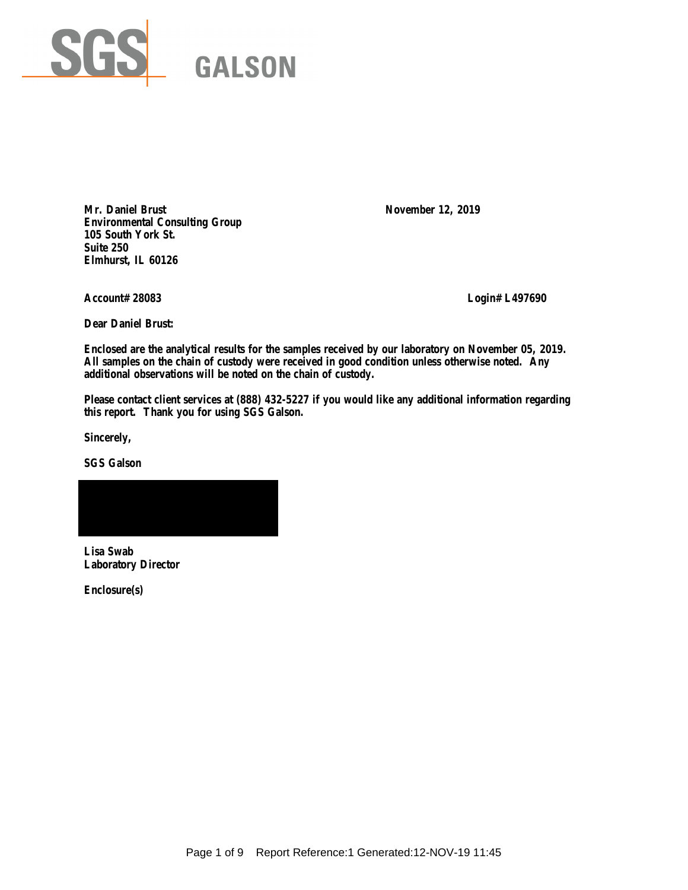

Mr. Daniel Brust November 12, 2019 **Environmental Consulting Group 105 South York St. Suite 250 Elmhurst, IL 60126**

**Account# 28083 Login# L497690**

**Dear Daniel Brust:**

**Enclosed are the analytical results for the samples received by our laboratory on November 05, 2019. All samples on the chain of custody were received in good condition unless otherwise noted. Any additional observations will be noted on the chain of custody.** 

**Please contact client services at (888) 432-5227 if you would like any additional information regarding this report. Thank you for using SGS Galson.**

**Sincerely,**

**SGS Galson**



**Lisa Swab Laboratory Director**

**Enclosure(s)**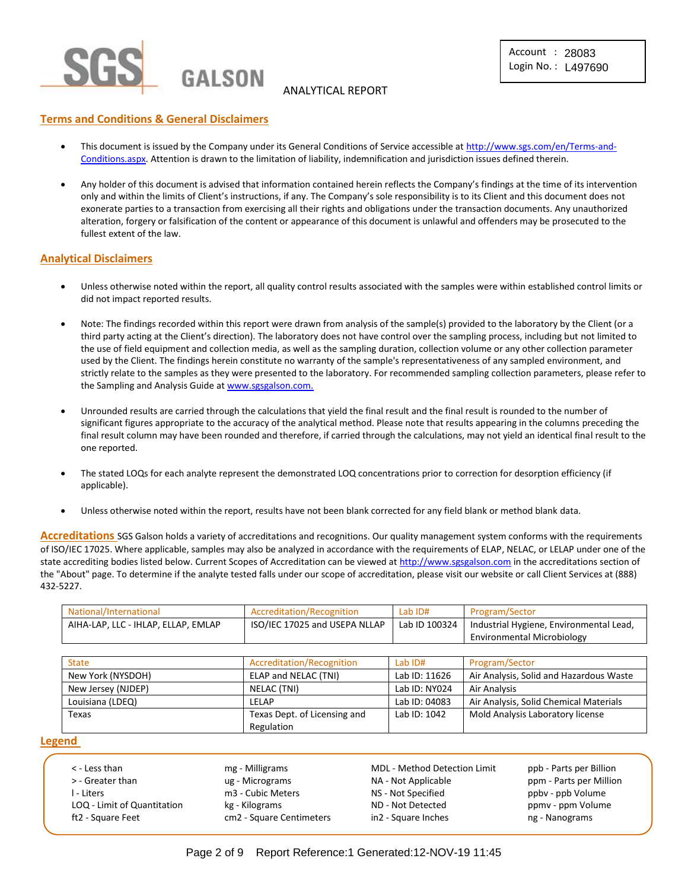

## ANALYTICAL REPORT

## **Terms and Conditions & General Disclaimers**

- This document is issued by the Company under its General Conditions of Service accessible at [http://www.sgs.com/en/Terms-and-](http://www.sgs.com/en/Terms-and-Conditions.aspx)[Conditions.aspx.](http://www.sgs.com/en/Terms-and-Conditions.aspx) Attention is drawn to the limitation of liability, indemnification and jurisdiction issues defined therein.
- Any holder of this document is advised that information contained herein reflects the Company's findings at the time of its intervention only and within the limits of Client's instructions, if any. The Company's sole responsibility is to its Client and this document does not exonerate parties to a transaction from exercising all their rights and obligations under the transaction documents. Any unauthorized alteration, forgery or falsification of the content or appearance of this document is unlawful and offenders may be prosecuted to the fullest extent of the law.

## **Analytical Disclaimers**

- Unless otherwise noted within the report, all quality control results associated with the samples were within established control limits or did not impact reported results.
- Note: The findings recorded within this report were drawn from analysis of the sample(s) provided to the laboratory by the Client (or a third party acting at the Client's direction). The laboratory does not have control over the sampling process, including but not limited to the use of field equipment and collection media, as well as the sampling duration, collection volume or any other collection parameter used by the Client. The findings herein constitute no warranty of the sample's representativeness of any sampled environment, and strictly relate to the samples as they were presented to the laboratory. For recommended sampling collection parameters, please refer to the Sampling and Analysis Guide a[t www.sgsgalson.com.](http://www.sgsgalson.com/)
- Unrounded results are carried through the calculations that yield the final result and the final result is rounded to the number of significant figures appropriate to the accuracy of the analytical method. Please note that results appearing in the columns preceding the final result column may have been rounded and therefore, if carried through the calculations, may not yield an identical final result to the one reported.
- The stated LOQs for each analyte represent the demonstrated LOQ concentrations prior to correction for desorption efficiency (if applicable).
- Unless otherwise noted within the report, results have not been blank corrected for any field blank or method blank data.

**Accreditations** SGS Galson holds a variety of accreditations and recognitions. Our quality management system conforms with the requirements of ISO/IEC 17025. Where applicable, samples may also be analyzed in accordance with the requirements of ELAP, NELAC, or LELAP under one of the state accrediting bodies listed below. Current Scopes of Accreditation can be viewed a[t http://www.sgsgalson.com](http://www.sgsgalson.com/) in the accreditations section of the "About" page. To determine if the analyte tested falls under our scope of accreditation, please visit our website or call Client Services at (888) 432-5227.

| National/International              | Accreditation/Recognition     | Lab ID#       | Program/Sector                          |
|-------------------------------------|-------------------------------|---------------|-----------------------------------------|
| AIHA-LAP, LLC - IHLAP, ELLAP, EMLAP | ISO/IEC 17025 and USEPA NLLAP | Lab ID 100324 | Industrial Hygiene, Environmental Lead, |
|                                     |                               |               | Environmental Microbiology              |

| <b>State</b>       | Accreditation/Recognition    | Lab ID#       | Program/Sector                          |
|--------------------|------------------------------|---------------|-----------------------------------------|
| New York (NYSDOH)  | ELAP and NELAC (TNI)         | Lab ID: 11626 | Air Analysis, Solid and Hazardous Waste |
| New Jersey (NJDEP) | NELAC (TNI)                  | Lab ID: NY024 | Air Analysis                            |
| Louisiana (LDEQ)   | LELAP                        | Lab ID: 04083 | Air Analysis, Solid Chemical Materials  |
| Texas              | Texas Dept. of Licensing and | Lab ID: 1042  | Mold Analysis Laboratory license        |
|                    | Regulation                   |               |                                         |

#### **Legend**

| $\lt$ - Less than           | mg - Milligrams          | <b>MDL - Method Detection Limit</b> | ppb - Parts per Billion |
|-----------------------------|--------------------------|-------------------------------------|-------------------------|
| > - Greater than            | ug - Micrograms          | NA - Not Applicable                 | ppm - Parts per Million |
| l - Liters                  | m3 - Cubic Meters        | NS - Not Specified                  | ppby - ppb Volume       |
| LOQ - Limit of Quantitation | kg - Kilograms           | ND - Not Detected                   | ppmy - ppm Volume       |
| ft2 - Square Feet           | cm2 - Square Centimeters | in2 - Square Inches                 | ng - Nanograms          |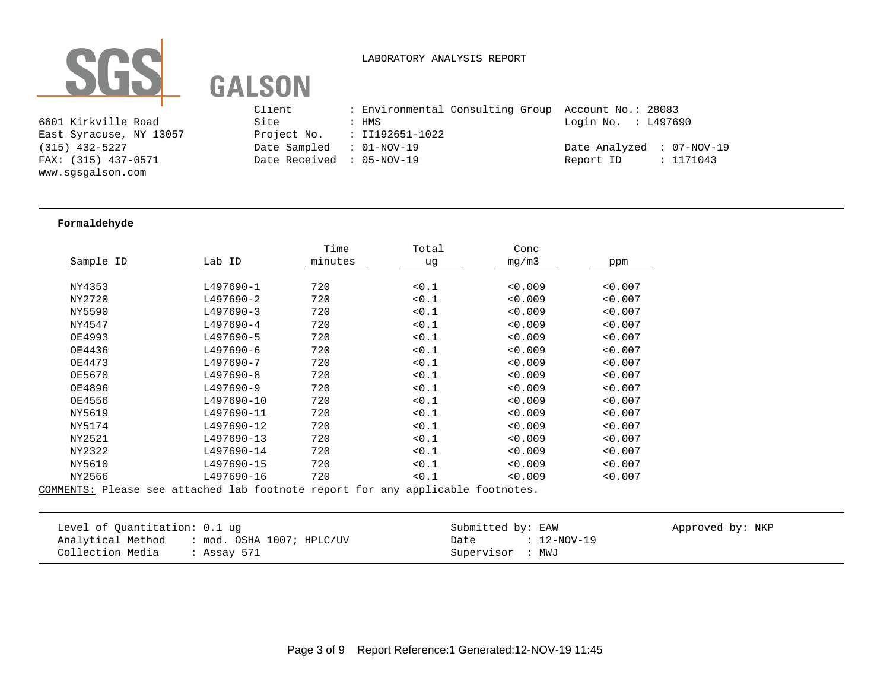

#### LABORATORY ANALYSIS REPORT

Client : Environmental Consulting Group Account No.: 28083 6601 Kirkville Road Site : HMS Login No. : L497690 East Syracuse, NY 13057 Project No. : II192651-1022 (315) 432-5227 Date Sampled : 01-NOV-19 Date Analyzed : 07-NOV-19 FAX: (315) 437-0571 Date Received : 05-NOV-19 Report ID : 1171043

#### **Formaldehyde**

www.sgsgalson.com

|           |            | Time    | Total | Conc    |         |
|-----------|------------|---------|-------|---------|---------|
| Sample ID | Lab ID     | minutes | uq    | mq/m3   | ppm     |
|           |            |         |       |         |         |
| NY4353    | L497690-1  | 720     | < 0.1 | < 0.009 | < 0.007 |
| NY2720    | L497690-2  | 720     | 0.1   | < 0.009 | < 0.007 |
| NY5590    | L497690-3  | 720     | 0.1   | < 0.009 | < 0.007 |
| NY4547    | L497690-4  | 720     | 0.1   | < 0.009 | < 0.007 |
| OE4993    | L497690-5  | 720     | 0.1   | < 0.009 | < 0.007 |
| OE4436    | L497690-6  | 720     | 0.1   | < 0.009 | < 0.007 |
| OE4473    | L497690-7  | 720     | < 0.1 | 0.009   | < 0.007 |
| OE5670    | L497690-8  | 720     | 0.1   | 0.009   | < 0.007 |
| OE4896    | L497690-9  | 720     | < 0.1 | 0.009   | < 0.007 |
| OE4556    | L497690-10 | 720     | < 0.1 | 0.009   | < 0.007 |
| NY5619    | L497690-11 | 720     | < 0.1 | 0.009   | < 0.007 |
| NY5174    | L497690-12 | 720     | 0.1   | 0.009   | < 0.007 |
| NY2521    | L497690-13 | 720     | 0.1   | 0.009   | < 0.007 |
| NY2322    | L497690-14 | 720     | 0.1   | 0.009   | < 0.007 |
| NY5610    | L497690-15 | 720     | 10.1  | < 0.009 | < 0.007 |
| NY2566    | L497690-16 | 720     | < 0.1 | 0.009   | < 0.007 |
|           |            |         |       |         |         |

COMMENTS: Please see attached lab footnote report for any applicable footnotes.

| Level of Quantitation: 0.1 ug                  | Submitted by: EAW     | Approved by: NKP |
|------------------------------------------------|-----------------------|------------------|
| Analytical Method<br>: mod. OSHA 1007; HPLC/UV | $: 12-NOV-19$<br>Date |                  |
| Collection Media<br>: Assay 571                | Supervisor : MWJ      |                  |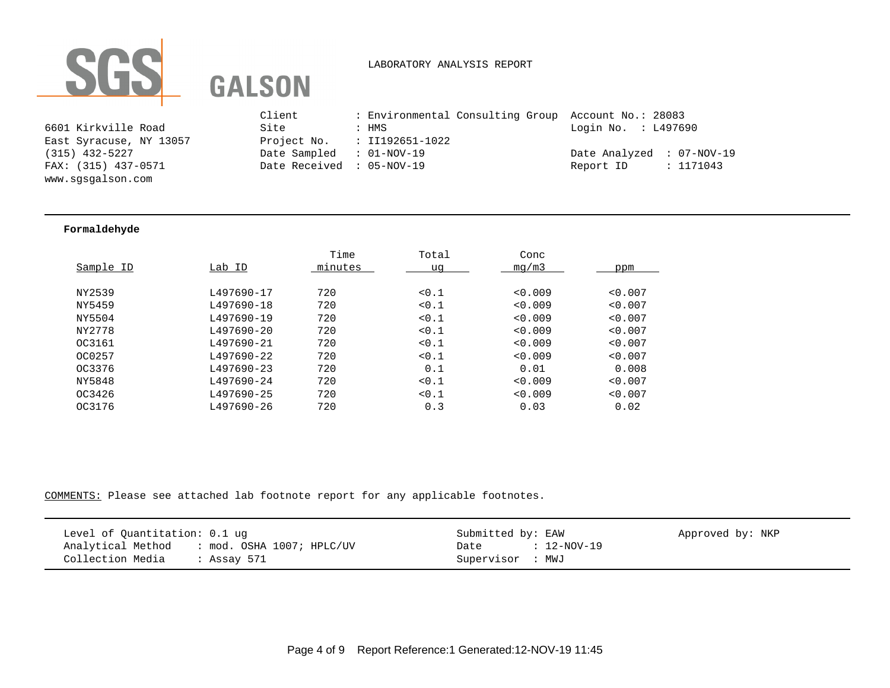

# LABORATORY ANALYSIS REPORT

6601 Kirkville Road East Syracuse, NY 13057 www.sgsgalson.com

|                                                                                                                 | Client                    | : Environmental Consulting Group Account No.: 28083 |                           |
|-----------------------------------------------------------------------------------------------------------------|---------------------------|-----------------------------------------------------|---------------------------|
| 6601 Kirkville Road                                                                                             | Site                      | : HMS                                               | Login No. : L497690       |
| East Syracuse, NY 13057                                                                                         |                           | Project No. $\qquad$ : II192651-1022                |                           |
| (315) 432-5227                                                                                                  | Date Sampled : 01-NOV-19  |                                                     | Date Analyzed : 07-NOV-19 |
| FAX: (315) 437-0571                                                                                             | Date Received : 05-NOV-19 |                                                     | : 1171043<br>Report ID    |
| the contract of the contract of the contract of the contract of the contract of the contract of the contract of |                           |                                                     |                           |

### **Formaldehyde**

|            | Time    | Total | Conc    |         |
|------------|---------|-------|---------|---------|
| Lab ID     | minutes | uq    | mq/m3   | ppm     |
|            |         |       |         |         |
| L497690-17 | 720     | 0.1   | 0.009   | < 0.007 |
| L497690-18 | 720     | 0.1   | 0.009   | < 0.007 |
| L497690-19 | 720     | 0.1   | < 0.009 | < 0.007 |
| L497690-20 | 720     | 0.1   | 0.009   | < 0.007 |
| L497690-21 | 720     | 0.1   | < 0.009 | < 0.007 |
| L497690-22 | 720     | 0.1   | < 0.009 | < 0.007 |
| L497690-23 | 720     | 0.1   | 0.01    | 0.008   |
| L497690-24 | 720     | 0.1   | 0.009   | < 0.007 |
| L497690-25 | 720     | 0.1   | < 0.009 | < 0.007 |
| L497690-26 | 720     | 0.3   | 0.03    | 0.02    |
|            |         |       |         |         |

COMMENTS: Please see attached lab footnote report for any applicable footnotes.

| Level of Quantitation: 0.1 ug               | Submitted by: EAW   | Approved by: NKP |
|---------------------------------------------|---------------------|------------------|
| Analytical Method : mod. OSHA 1007; HPLC/UV | : 12-NOV-19<br>Date |                  |
| Collection Media<br>· Assay 571             | Supervisor : MWJ    |                  |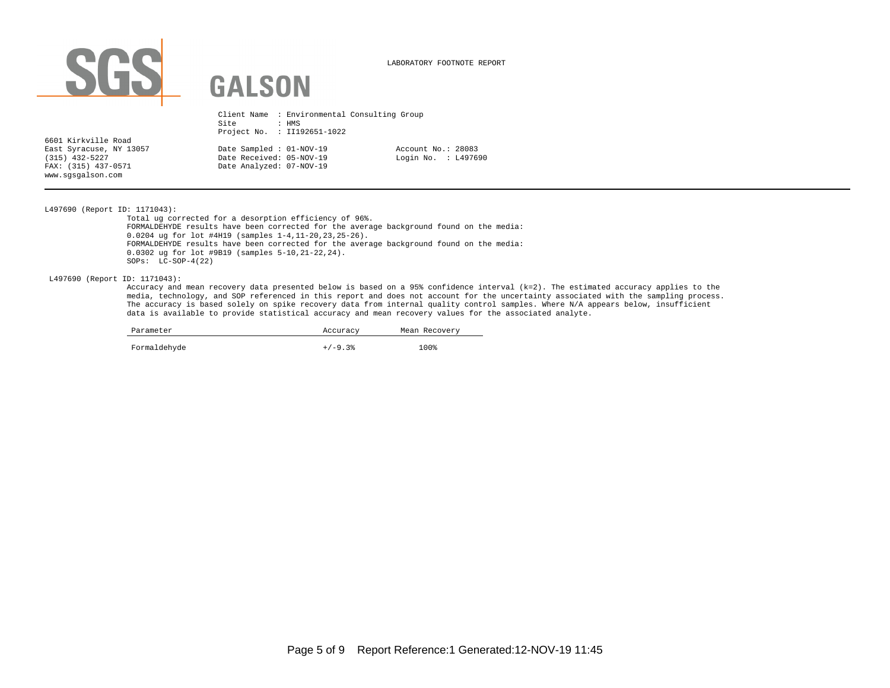

LABORATORY FOOTNOTE REPORT

|                                                                                                                | Site<br>Project No. : II192651-1022                                              | : HMS | Client Name : Environmental Consulting Group |
|----------------------------------------------------------------------------------------------------------------|----------------------------------------------------------------------------------|-------|----------------------------------------------|
| 6601 Kirkville Road<br>East Syracuse, NY 13057<br>$(315)$ 432-5227<br>FAX: (315) 437-0571<br>www.sqsqalson.com | Date Sampled : 01-NOV-19<br>Date Received: 05-NOV-19<br>Date Analyzed: 07-NOV-19 |       | Account No.: 28083<br>Login No. : L497690    |

L497690 (Report ID: 1171043):

Total ug corrected for a desorption efficiency of 96%. FORMALDEHYDE results have been corrected for the average background found on the media: 0.0204 ug for lot #4H19 (samples 1-4,11-20,23,25-26). FORMALDEHYDE results have been corrected for the average background found on the media: 0.0302 ug for lot #9B19 (samples 5-10,21-22,24). SOPs: LC-SOP-4(22)

L497690 (Report ID: 1171043):

Accuracy and mean recovery data presented below is based on a 95% confidence interval (k=2). The estimated accuracy applies to the media, technology, and SOP referenced in this report and does not account for the uncertainty associated with the sampling process. The accuracy is based solely on spike recovery data from internal quality control samples. Where N/A appears below, insufficient data is available to provide statistical accuracy and mean recovery values for the associated analyte.

| Parameter    | Accuracy  | Mean Recovery |  |  |
|--------------|-----------|---------------|--|--|
| Formaldehyde | $+/-9.3%$ | 100%          |  |  |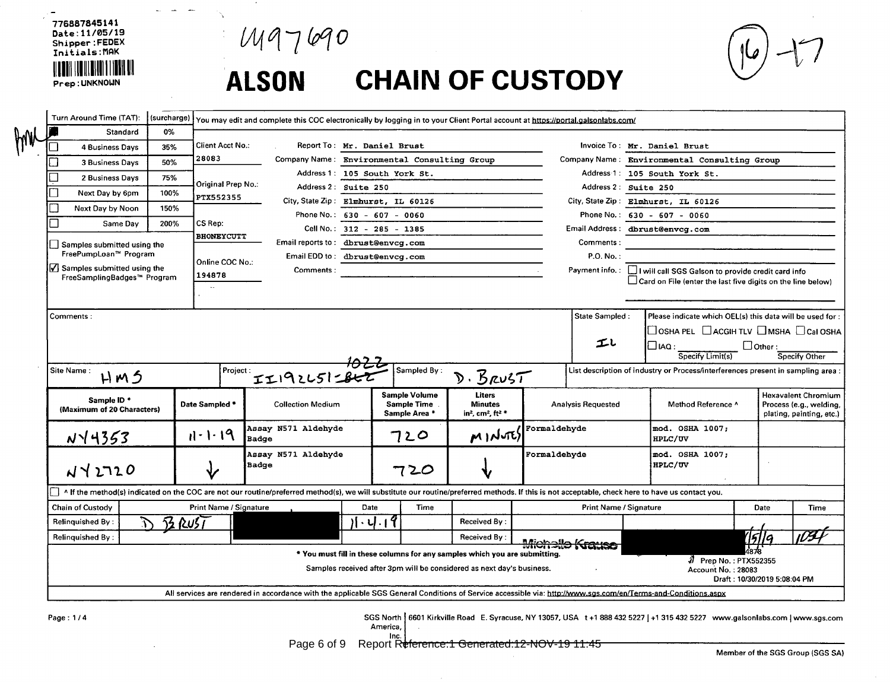776887845141 Date: 11/05/19 Shipper:FEDEX Initials: MAK Prep: UNKNOWN

 $M97690$ 

 $\sim$ 

Ñ.

المسترد المسترد

# **CHAIN OF CUSTODY ALSON**

| Turn Around Time (TAT):                                      | (surcharge) |                         |                                     |      |                                                                            |                                                                                          | You may edit and complete this COC electronically by logging in to your Client Portal account at https://portal.galsonlabs.com/                                                                  |                                                                                                                                  |                                             |                |                                                                                   |
|--------------------------------------------------------------|-------------|-------------------------|-------------------------------------|------|----------------------------------------------------------------------------|------------------------------------------------------------------------------------------|--------------------------------------------------------------------------------------------------------------------------------------------------------------------------------------------------|----------------------------------------------------------------------------------------------------------------------------------|---------------------------------------------|----------------|-----------------------------------------------------------------------------------|
| Standard                                                     | 0%          |                         |                                     |      |                                                                            |                                                                                          |                                                                                                                                                                                                  |                                                                                                                                  |                                             |                |                                                                                   |
| <b>4 Business Days</b>                                       | 35%         | <b>Client Acct No.:</b> |                                     |      | Report To: Mr. Daniel Brust                                                |                                                                                          |                                                                                                                                                                                                  | Invoice To: Mr. Daniel Brust                                                                                                     |                                             |                |                                                                                   |
| 3 Business Days                                              | 50%         | 28083                   |                                     |      | Company Name: Environmental Consulting Group                               |                                                                                          |                                                                                                                                                                                                  | Company Name: Environmental Consulting Group                                                                                     |                                             |                |                                                                                   |
| 2 Business Days                                              | 75%         | Original Prep No.:      |                                     |      | Address 1: 105 South York St.                                              |                                                                                          |                                                                                                                                                                                                  | Address 1: 105 South York St.                                                                                                    |                                             |                |                                                                                   |
| Next Day by 6pm                                              | 100%        | PTX552355               | Address 2: Suite 250                |      |                                                                            |                                                                                          |                                                                                                                                                                                                  | Address 2: Suite 250                                                                                                             |                                             |                |                                                                                   |
| Next Day by Noon                                             | 150%        |                         |                                     |      | City, State Zip: Elmhurst, IL 60126                                        |                                                                                          |                                                                                                                                                                                                  | City, State Zip: Elmhurst, IL 60126                                                                                              |                                             |                |                                                                                   |
| Same Day                                                     | 200%        | CS Rep:                 |                                     |      | Phone No.: $630 - 607 - 0060$                                              |                                                                                          |                                                                                                                                                                                                  | Phone No.: $630 - 607 - 0060$                                                                                                    |                                             |                |                                                                                   |
|                                                              |             | <b>BHONEYCUTT</b>       |                                     |      | Cell No.: 312 - 285 - 1385                                                 |                                                                                          |                                                                                                                                                                                                  | Email Address: dbrust@envcg.com                                                                                                  |                                             |                |                                                                                   |
| Samples submitted using the<br>FreePumpLoan™ Program         |             |                         | Email reports to: dbrust@envcg.com  |      |                                                                            |                                                                                          | Comments:                                                                                                                                                                                        |                                                                                                                                  |                                             |                |                                                                                   |
|                                                              |             | Online COC No.:         | Email EDD to: dbrust@envcg.com      |      |                                                                            |                                                                                          | P.O. No.:                                                                                                                                                                                        |                                                                                                                                  |                                             |                |                                                                                   |
| √ Samples submitted using the<br>FreeSamplingBadges™ Program |             | 194878                  | Comments:                           |      |                                                                            |                                                                                          |                                                                                                                                                                                                  | Payment info.: I will call SGS Galson to provide credit card info<br>Card on File (enter the last five digits on the line below) |                                             |                |                                                                                   |
|                                                              |             | $\ddotsc$               |                                     |      |                                                                            |                                                                                          |                                                                                                                                                                                                  |                                                                                                                                  |                                             |                |                                                                                   |
| Comments:                                                    |             |                         |                                     |      |                                                                            |                                                                                          | State Sampled:                                                                                                                                                                                   | Please indicate which OEL(s) this data will be used for :                                                                        |                                             |                |                                                                                   |
|                                                              |             |                         |                                     |      |                                                                            |                                                                                          |                                                                                                                                                                                                  | $\Box$ OSHA PEL $\Box$ ACGIH TLV $\Box$ MSHA $\Box$ Cal OSHA                                                                     |                                             |                |                                                                                   |
|                                                              |             |                         |                                     |      |                                                                            |                                                                                          | エレ                                                                                                                                                                                               | $\square$ iaq $\square$                                                                                                          |                                             | $\Box$ Other : |                                                                                   |
|                                                              |             |                         |                                     |      |                                                                            |                                                                                          |                                                                                                                                                                                                  | Specify Limit(s)                                                                                                                 |                                             |                | Soecify Other                                                                     |
| Site Name:<br>HM5                                            |             |                         | $r_{\text{project}}$ $T192251286$   |      | Sampled By:                                                                | D. BRUST                                                                                 |                                                                                                                                                                                                  | List description of industry or Process/interferences present in sampling area                                                   |                                             |                |                                                                                   |
| Sample ID *<br>(Maximum of 20 Characters)                    |             | Date Sampled *          | <b>Collection Medium</b>            |      | <b>Sample Volume</b><br><b>Sample Time</b><br>Sample Area *                | <b>Liters</b><br><b>Minutes</b><br>in <sup>2</sup> , cm <sup>2</sup> , ft <sup>2 *</sup> | <b>Analysis Requested</b>                                                                                                                                                                        | Method Reference ^                                                                                                               |                                             |                | <b>Hexavalent Chromium</b><br>Process (e.g., welding,<br>plating, painting, etc.) |
| $N\sqrt{4353}$                                               |             | $11 - 1 - 19$           | Assay N571 Aldehyde<br><b>Badge</b> |      | つと〇                                                                        | MINUTES                                                                                  | Formaldehyde                                                                                                                                                                                     | mod. OSHA 1007;<br><b>HPLC/UV</b>                                                                                                |                                             |                |                                                                                   |
| $N$ ברג א $0$                                                |             |                         | Assay N571 Aldehyde<br>Badge        |      | 720                                                                        |                                                                                          | Formaldehyde                                                                                                                                                                                     | mod. OSHA 1007;<br>HPLC/UV                                                                                                       |                                             |                |                                                                                   |
|                                                              |             |                         |                                     |      |                                                                            |                                                                                          | A If the method(s) indicated on the COC are not our routine/preferred method(s), we will substitute our routine/preferred methods. If this is not acceptable, check here to have us contact you, |                                                                                                                                  |                                             |                |                                                                                   |
| <b>Chain of Custody</b>                                      |             | Print Name / Signature  |                                     | Date | Time                                                                       |                                                                                          | <b>Print Name / Signature</b>                                                                                                                                                                    |                                                                                                                                  |                                             | Date           | Time                                                                              |
| <b>Relinquished By:</b>                                      | $72$ RuST   |                         |                                     |      | 11.4.19                                                                    | Received By:                                                                             |                                                                                                                                                                                                  |                                                                                                                                  |                                             |                |                                                                                   |
| Relinquished By:                                             |             |                         |                                     |      |                                                                            | Received By:                                                                             |                                                                                                                                                                                                  |                                                                                                                                  |                                             | 15119          |                                                                                   |
|                                                              |             |                         |                                     |      | * You must fill in these columns for any samples which you are submitting. |                                                                                          | Michalla Kra                                                                                                                                                                                     |                                                                                                                                  |                                             |                |                                                                                   |
|                                                              |             |                         |                                     |      | Samples received after 3pm will be considered as next day's business.      |                                                                                          |                                                                                                                                                                                                  |                                                                                                                                  | 2 Prep No.: PTX552355<br>Account No.: 28083 |                |                                                                                   |
|                                                              |             |                         |                                     |      |                                                                            |                                                                                          |                                                                                                                                                                                                  |                                                                                                                                  | Draft: 10/30/2019 5:08:04 PM                |                |                                                                                   |

Page: 1/4

SGS North | 6601 Kirkville Road E. Syracuse, NY 13057, USA t+1 888 432 5227 | +1 315 432 5227 www.galsonlabs.com | www.sgs.com  $An$ 

$$
\begin{matrix} \text{interical} \\ \text{Inc.} \end{matrix}
$$

Page 6 of 9 Report Reference:1 Generated:12-NOV-19 11:45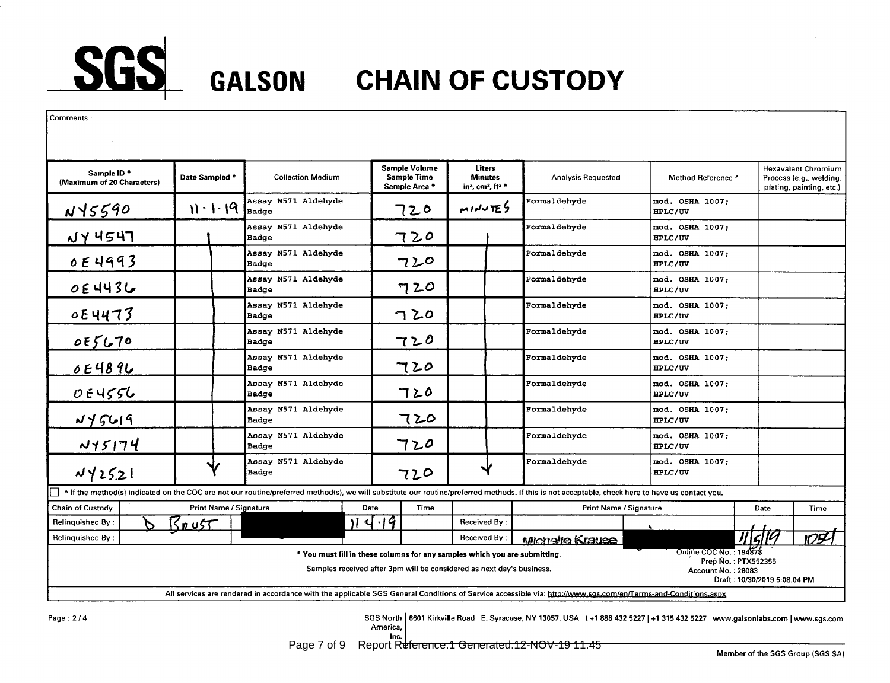

| Comments:                                            |                        |                                                                                                                                                                                                  |                                                                                                                                                     |                                                                                   |                               |                                                                     |                              |                                                                                   |
|------------------------------------------------------|------------------------|--------------------------------------------------------------------------------------------------------------------------------------------------------------------------------------------------|-----------------------------------------------------------------------------------------------------------------------------------------------------|-----------------------------------------------------------------------------------|-------------------------------|---------------------------------------------------------------------|------------------------------|-----------------------------------------------------------------------------------|
| Sample ID <sup>*</sup><br>(Maximum of 20 Characters) | Date Sampled *         | <b>Collection Medium</b>                                                                                                                                                                         | <b>Sample Volume</b><br><b>Sample Time</b><br>Sample Area *                                                                                         | Liters<br><b>Minutes</b><br>in <sup>2</sup> , cm <sup>2</sup> , ft <sup>2</sup> * | <b>Analysis Requested</b>     | Method Reference ^                                                  |                              | <b>Hexavalent Chromium</b><br>Process (e.g., welding,<br>plating, painting, etc.) |
| $N\sqrt{5590}$                                       | $11 - 1 - 19$          | Assay N571 Aldehyde<br><b>Badge</b>                                                                                                                                                              | 720                                                                                                                                                 | MINUTES                                                                           | Formaldehyde                  | mod. OSHA 1007;<br>HPLC/UV                                          |                              |                                                                                   |
| $NY$ 4547                                            |                        | Assay N571 Aldehyde<br>Badge                                                                                                                                                                     | 720                                                                                                                                                 |                                                                                   | Formaldehyde                  | mod. OSHA 1007;<br>HPLC/UV                                          |                              |                                                                                   |
| OE 4993                                              |                        | Assay N571 Aldehyde<br>Badge                                                                                                                                                                     | 720                                                                                                                                                 |                                                                                   | Formaldehyde                  | mod. OSHA 1007;<br>HPLC/UV                                          |                              |                                                                                   |
| OE4436                                               |                        | Assay N571 Aldehyde<br>Badge                                                                                                                                                                     | 720                                                                                                                                                 |                                                                                   | Formaldehyde                  | mod. OSHA 1007;<br>HPLC/UV                                          |                              |                                                                                   |
| $0E$ 4473                                            |                        | Assay N571 Aldehyde<br>Badge                                                                                                                                                                     | 720                                                                                                                                                 |                                                                                   | Formaldehyde                  | mod. OSHA 1007;<br>HPLC/UV                                          |                              |                                                                                   |
| 055670                                               |                        | Assay N571 Aldehyde<br>Badge                                                                                                                                                                     | 720                                                                                                                                                 |                                                                                   | Formaldehyde                  | mod. OSHA 1007;<br>HPLC/UV                                          |                              |                                                                                   |
| 0E4896                                               |                        | Assay N571 Aldehyde<br>Badge                                                                                                                                                                     | 720                                                                                                                                                 |                                                                                   | Formaldehyde                  | mod. OSHA 1007;<br>HPLC/UV                                          |                              |                                                                                   |
| 0.64556                                              |                        | Assay N571 Aldehyde<br>Badge                                                                                                                                                                     | 720                                                                                                                                                 |                                                                                   | Formaldehyde                  | mod. OSHA 1007;<br>HPLC/UV                                          |                              |                                                                                   |
| NyzG19                                               |                        | Assay N571 Aldehyde<br>Badge                                                                                                                                                                     | 720                                                                                                                                                 |                                                                                   | Formaldehyde                  | mod. OSHA 1007;<br>HPLC/UV                                          |                              |                                                                                   |
| N15174                                               |                        | Assay N571 Aldehyde<br>Badge                                                                                                                                                                     | 720                                                                                                                                                 |                                                                                   | Formaldehyde                  | mod. OSHA 1007;<br>HPLC/UV                                          |                              |                                                                                   |
| 142521                                               |                        | Assay N571 Aldehyde<br>Badge                                                                                                                                                                     | 720                                                                                                                                                 |                                                                                   | Formaldehyde                  | mod. OSHA 1007;<br>HPLC/UV                                          |                              |                                                                                   |
| IП                                                   |                        | A If the method(s) indicated on the COC are not our routine/preferred method(s), we will substitute our routine/preferred methods. If this is not acceptable, check here to have us contact you, |                                                                                                                                                     |                                                                                   |                               |                                                                     |                              |                                                                                   |
| <b>Chain of Custody</b>                              | Print Name / Signature |                                                                                                                                                                                                  | Date<br>Time                                                                                                                                        |                                                                                   | <b>Print Name / Signature</b> |                                                                     | Date                         | Time                                                                              |
| <b>Relinquished By:</b><br>Relinquished By:          | $R_{\mu\nu}$ st        |                                                                                                                                                                                                  | 114.14                                                                                                                                              | Received By:<br>Received By:                                                      |                               |                                                                     | 11/5/19                      | $\overline{1094}$                                                                 |
|                                                      |                        |                                                                                                                                                                                                  | * You must fill in these columns for any samples which you are submitting.<br>Samples received after 3pm will be considered as next day's business. |                                                                                   | Michalle Krause               | Online COC No.: 194878<br>Prep No.: PTX552355<br>Account No.: 28083 | Draft: 10/30/2019 5:08:04 PM |                                                                                   |
|                                                      |                        | All services are rendered in accordance with the applicable SGS General Conditions of Service accessible via: http://www.sgs.com/en/Terms-and-Conditions.aspx                                    |                                                                                                                                                     |                                                                                   |                               |                                                                     |                              |                                                                                   |

Page: 2/4

SGS North | 6601 Kirkville Road E. Syracuse, NY 13057, USA t+1 888 432 5227 | +1 315 432 5227 www.galsonlabs.com | www.sqs.com America

$$
-\text{Inc.}
$$

Page 7 of 9 Report Reference: 1 Generated: 12-NOV-19 11:45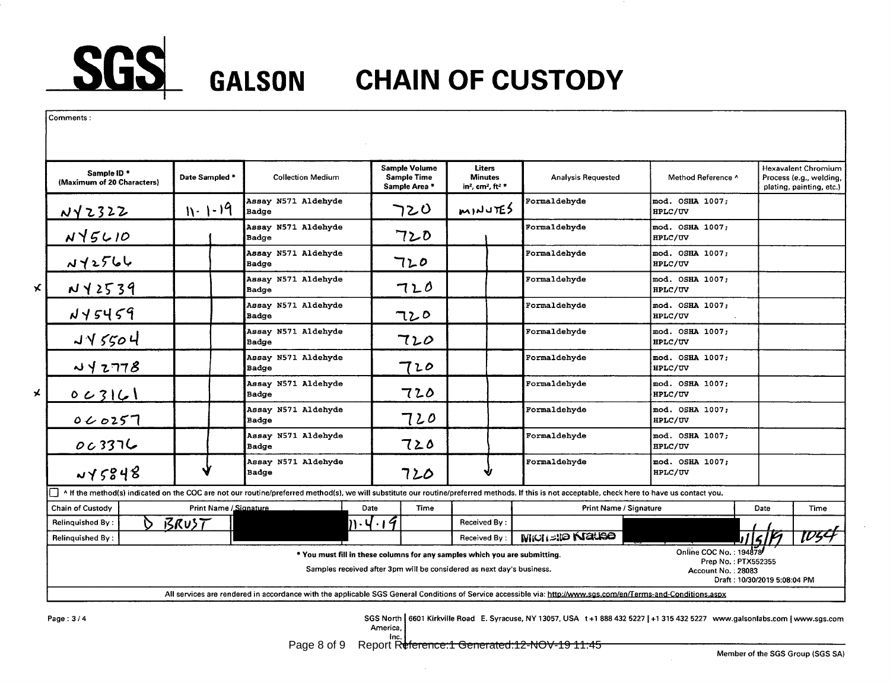

| <b>Sample Volume</b><br>Liters<br>Sample ID *<br>Date Sampled *<br><b>Collection Medium</b><br><b>Sample Time</b><br><b>Minutes</b><br><b>Analysis Requested</b><br>Method Reference ^<br>(Maximum of 20 Characters)<br>Sample Area *<br>in <sup>2</sup> , cm <sup>2</sup> , ft <sup>2</sup> *<br>Assay N571 Aldehyde<br>Formaldehyde<br>mod. OSHA 1007;<br>$N - 1 - 19$<br><b>MINUTES</b><br>つとひ<br><u>NY 2322</u><br>Badge<br>HPLC/UV<br>Assay N571 Aldehyde<br>Formaldehyde<br>mod. OSHA 1007;<br>$N \sqrt{5610}$<br>720<br>Badge<br><b>HPLC/UV</b><br>Assay N571 Aldehyde<br>Formaldehyde<br>mod. OSHA 1007;<br>112566<br>720<br>HPLC/UV<br>Badge<br>Assay N571 Aldehyde<br>Formaldehyde<br>mod. OSHA 1007;<br>N Y 2539<br>720<br>HPLC/UV<br>Badge<br>Assay N571 Aldehyde<br>Formaldehyde<br>mod. OSHA 1007;<br>$N95459$<br>720<br>HPLC/UV<br>Badge<br>Assay N571 Aldehyde<br>Formaldehyde<br>mod. OSHA 1007;<br>J45504<br>720<br><b>Badge</b><br>HPLC/UV<br>Assay N571 Aldehyde<br>Formaldehyde<br>mod. OSHA 1007;<br>442778<br>て20<br>HPLC/UV<br>Badge<br>Assay N571 Aldehyde<br>mod. OSHA 1007;<br>Formaldehyde<br>720<br>0 C 3 I 6 1<br>HPLC/UV<br>Badge<br>Assay N571 Aldehyde<br>mod. OSHA 1007;<br>Formaldehyde<br>720<br>0000257<br>HPLC/UV<br><b>Badge</b><br>Assay N571 Aldehyde<br>mod. OSHA 1007;<br>Formaldehyde | <b>Hexavalent Chromium</b><br>Process (e.g., welding,<br>plating, painting, etc.) |  |  |  |  |  |  |  |
|-----------------------------------------------------------------------------------------------------------------------------------------------------------------------------------------------------------------------------------------------------------------------------------------------------------------------------------------------------------------------------------------------------------------------------------------------------------------------------------------------------------------------------------------------------------------------------------------------------------------------------------------------------------------------------------------------------------------------------------------------------------------------------------------------------------------------------------------------------------------------------------------------------------------------------------------------------------------------------------------------------------------------------------------------------------------------------------------------------------------------------------------------------------------------------------------------------------------------------------------------------------------------------------------------------------------------------------|-----------------------------------------------------------------------------------|--|--|--|--|--|--|--|
| $\vert x \vert$                                                                                                                                                                                                                                                                                                                                                                                                                                                                                                                                                                                                                                                                                                                                                                                                                                                                                                                                                                                                                                                                                                                                                                                                                                                                                                                   |                                                                                   |  |  |  |  |  |  |  |
|                                                                                                                                                                                                                                                                                                                                                                                                                                                                                                                                                                                                                                                                                                                                                                                                                                                                                                                                                                                                                                                                                                                                                                                                                                                                                                                                   |                                                                                   |  |  |  |  |  |  |  |
|                                                                                                                                                                                                                                                                                                                                                                                                                                                                                                                                                                                                                                                                                                                                                                                                                                                                                                                                                                                                                                                                                                                                                                                                                                                                                                                                   |                                                                                   |  |  |  |  |  |  |  |
|                                                                                                                                                                                                                                                                                                                                                                                                                                                                                                                                                                                                                                                                                                                                                                                                                                                                                                                                                                                                                                                                                                                                                                                                                                                                                                                                   |                                                                                   |  |  |  |  |  |  |  |
|                                                                                                                                                                                                                                                                                                                                                                                                                                                                                                                                                                                                                                                                                                                                                                                                                                                                                                                                                                                                                                                                                                                                                                                                                                                                                                                                   |                                                                                   |  |  |  |  |  |  |  |
| $\star$                                                                                                                                                                                                                                                                                                                                                                                                                                                                                                                                                                                                                                                                                                                                                                                                                                                                                                                                                                                                                                                                                                                                                                                                                                                                                                                           |                                                                                   |  |  |  |  |  |  |  |
|                                                                                                                                                                                                                                                                                                                                                                                                                                                                                                                                                                                                                                                                                                                                                                                                                                                                                                                                                                                                                                                                                                                                                                                                                                                                                                                                   |                                                                                   |  |  |  |  |  |  |  |
|                                                                                                                                                                                                                                                                                                                                                                                                                                                                                                                                                                                                                                                                                                                                                                                                                                                                                                                                                                                                                                                                                                                                                                                                                                                                                                                                   |                                                                                   |  |  |  |  |  |  |  |
|                                                                                                                                                                                                                                                                                                                                                                                                                                                                                                                                                                                                                                                                                                                                                                                                                                                                                                                                                                                                                                                                                                                                                                                                                                                                                                                                   |                                                                                   |  |  |  |  |  |  |  |
|                                                                                                                                                                                                                                                                                                                                                                                                                                                                                                                                                                                                                                                                                                                                                                                                                                                                                                                                                                                                                                                                                                                                                                                                                                                                                                                                   |                                                                                   |  |  |  |  |  |  |  |
| 003376<br>720<br><b>HPLC/UV</b><br><b>Badge</b>                                                                                                                                                                                                                                                                                                                                                                                                                                                                                                                                                                                                                                                                                                                                                                                                                                                                                                                                                                                                                                                                                                                                                                                                                                                                                   |                                                                                   |  |  |  |  |  |  |  |
| Assay N571 Aldehyde<br>mod. OSHA 1007;<br>Formaldehyde<br>45848<br>720<br>HPLC/UV<br><b>Badge</b>                                                                                                                                                                                                                                                                                                                                                                                                                                                                                                                                                                                                                                                                                                                                                                                                                                                                                                                                                                                                                                                                                                                                                                                                                                 |                                                                                   |  |  |  |  |  |  |  |
| A If the method(s) indicated on the COC are not our routine/preferred method(s), we will substitute our routine/preferred methods. If this is not acceptable, check here to have us contact you.                                                                                                                                                                                                                                                                                                                                                                                                                                                                                                                                                                                                                                                                                                                                                                                                                                                                                                                                                                                                                                                                                                                                  |                                                                                   |  |  |  |  |  |  |  |
| Print Name / Signature<br><b>Chain of Custody</b><br>Time<br>Print Name / Signature<br>Date<br>Date                                                                                                                                                                                                                                                                                                                                                                                                                                                                                                                                                                                                                                                                                                                                                                                                                                                                                                                                                                                                                                                                                                                                                                                                                               | Time                                                                              |  |  |  |  |  |  |  |
| <u>BRUST</u><br>$\mathbb{N}\cdot$ Y $\cdot$ I $\mathcal T$<br><b>Relinquished By:</b><br>Received By:<br>$\mathcal{D}$                                                                                                                                                                                                                                                                                                                                                                                                                                                                                                                                                                                                                                                                                                                                                                                                                                                                                                                                                                                                                                                                                                                                                                                                            |                                                                                   |  |  |  |  |  |  |  |
| 15F<br>MICHELED <b>KIGLISO</b><br>Received By:<br><b>Relinquished By:</b>                                                                                                                                                                                                                                                                                                                                                                                                                                                                                                                                                                                                                                                                                                                                                                                                                                                                                                                                                                                                                                                                                                                                                                                                                                                         | TD54                                                                              |  |  |  |  |  |  |  |
| Online COC No.: 194878<br>* You must fill in these columns for any samples which you are submitting.<br>Prep No.: PTX552355<br>Samples received after 3pm will be considered as next day's business.<br><b>Account No.: 28083</b><br>Draft: 10/30/2019 5:08:04 PM                                                                                                                                                                                                                                                                                                                                                                                                                                                                                                                                                                                                                                                                                                                                                                                                                                                                                                                                                                                                                                                                 |                                                                                   |  |  |  |  |  |  |  |
| All services are rendered in accordance with the applicable SGS General Conditions of Service accessible via: http://www.sqs.com/en/Terms-and-Conditions.aspx                                                                                                                                                                                                                                                                                                                                                                                                                                                                                                                                                                                                                                                                                                                                                                                                                                                                                                                                                                                                                                                                                                                                                                     |                                                                                   |  |  |  |  |  |  |  |

Page:  $3/4$ 

SGS North | 6601 Kirkville Road E. Syracuse, NY 13057, USA t+1 888 432 5227 | +1 315 432 5227 www.galsonlabs.com | www.sgs.com<br>America, |

$$
\mathsf{inc}^{\mathsf{line}}_{\mathsf{inc.}}\}
$$

Page 8 of 9 Report Reference: 1 Generated: 12-NOV-19 11:45